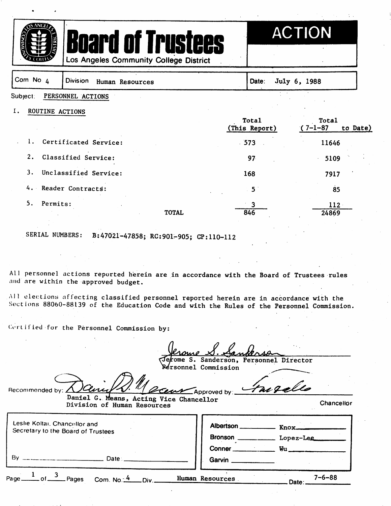





Los Angeles Community College District

| Com No. 4             | <b>Division</b><br>Human Resources | Date:                         | July 6, 1988                    |
|-----------------------|------------------------------------|-------------------------------|---------------------------------|
| Subject:              | PERSONNEL ACTIONS                  |                               |                                 |
| Ι.<br>ROUTINE ACTIONS |                                    | <b>Total</b><br>(This Report) | Total<br>$(7-1-87)$<br>to Date) |
|                       | Certificated Service:              | 573<br>$\sim$ $\sim$          | 11646                           |
| 2.                    | Classified Service:                | 97                            | 5109                            |
| 3.                    | Unclassified Service:              | 168                           | 7917                            |
|                       | 4. Reader Contracts:               | 5 <sub>1</sub>                | 85                              |
| 5.<br>Permits:        | <b>TOTAL</b>                       | 3<br>846                      | $112 -$<br>24869                |

SERIAL NUMBERS: B:47021-47858; RC:901-905; CP:110-112

All personnel actions reported herein are in accordance with the Board of Trustees rules and are within the approved budget.

All elections nflecting classified personnel reported herein are in accordance with the Sections 88060-88139 of the Education Code and with the Rules of the Personnel Commission.

Gertified for the Personnel Commission by:

ome S. Sanderson, Personnel Director

**Rérsonnel Commission** 

Recommended by:  $\angle$ Approved by:  $\overline{\phantom{a}}$ Daniel G. Means, Acting Vice Chancellor Division of Human Resources

Leslie Koltai. Chancellor and Albertson \_\_\_\_\_\_\_\_\_\_\_\_\_ Knox\_\_\_ Secretary to the Board of Trustees Bronson \_\_\_\_\_\_\_\_\_ Lopez-Lee Conner \_\_\_\_\_\_\_\_\_\_\_ Wu \_\_\_\_\_\_\_ By \_ Date∴ Garvin. of  $\frac{3}{2}$  Pages Page\_ Com. No. $\frac{4}{1}$  Div. Human Resources

 $7 - 6 - 88$ ⊥Date:⊥

**Chancellor**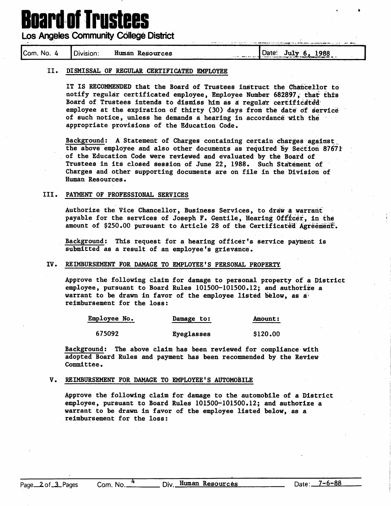# **Board of Trustees**

**Los Angeles Community College District** 

| Com.<br>No.<br>л | Division: | Human<br>Resources | 1988<br>Date:<br>July<br>ъ.<br>the first of the company of the company of the company of the company of the second company of the company of |
|------------------|-----------|--------------------|----------------------------------------------------------------------------------------------------------------------------------------------|
|------------------|-----------|--------------------|----------------------------------------------------------------------------------------------------------------------------------------------|

#### II. DISMISSAL OF REGULAR CERTIFICATED EMPLOYEE

IT IS RECOMMENDED that the Board of Trustees instruct the Chancellor to notify regular certificated employee, Employee Number 682897, that this Board of Trustees intends to dismiss him as a regular certificated employee at the expiration of thirty (30) days from the date of service of such notice, unless he demands a hearing in accordance with the appropriate provisions of the Education Code.

Background: A Statement of Charges containing certain charges against the above employee and also other documents as required by Section 87671: of the Education Code were reviewed and evaluated by the Board of Trustees in its closed session of June 22, 1988. Such Statement of Charges and other supporting documents are on file in the Division of Human Resources.

## III. PAYMENT OF PROFESSIONAL SERVICES

Authorize the Vice Chancellor, Business Services, to draw a warrant payable for the services of Joseph F. Gentile, Hearing Officer, in the amount of  $$250.00$  pursuant to Article 28 of the Certificated Agreement.

Background; This request for a hearing officer's service payment is submitted as a result of an employee's grievance.

#### IV. REIMBURSEMENT FOR DAMAGE TO EMPLOYEE'S PERSONAL PROPERTY

Approve the following claim for damage to personal property of a District employee, pursuant to Board Rules 101500-101500.12; and authorize a warrant to be drawn in favor of the employee listed below, as a reimbursement for the loss:

| <b>Employee No.</b> | Damage to: | Amount:  |
|---------------------|------------|----------|
| 675092              | Eyeglasses | \$120.00 |

Background; The above claim has been reviewed for compliance with adopted Board Rules and payment has been recommended by the Review Committee.

#### V. REIMBURSEMENT FOR DAMAGE TO EMPLOYEE'S AUTOMOBILE

Approve the following claim for damage to the automobile of a District employee, pursuant to Board Rules 101500-101500.12; and authorize a warrant to be drawn in favor of the employee listed below, as a reimburs ement for the loss: